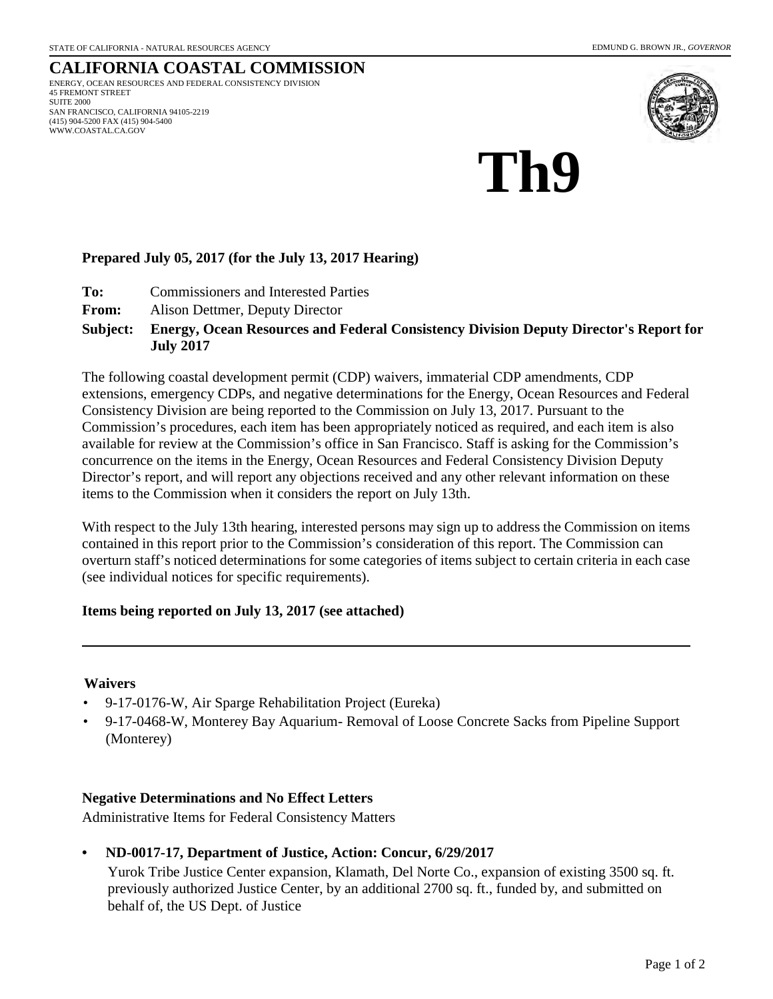#### **CALIFORNIA COASTAL COMMISSION** ENERGY, OCEAN RESOURCES AND FEDERAL CONSISTENCY DIVISION 45 FREMONT STREET SUITE 2000 SAN FRANCISCO, CALIFORNIA 94105-2219 (415) 904-5200 FAX (415) 904-5400 WWW.COASTAL.CA.GOV



# **Th9**

## **Prepared July 05, 2017 (for the July 13, 2017 Hearing)**

- **To:** Commissioners and Interested Parties
- **From:** Alison Dettmer, Deputy Director

#### **Energy, Ocean Resources and Federal Consistency Division Deputy Director's Report for July 2017 Subject:**

The following coastal development permit (CDP) waivers, immaterial CDP amendments, CDP extensions, emergency CDPs, and negative determinations for the Energy, Ocean Resources and Federal Consistency Division are being reported to the Commission on July 13, 2017. Pursuant to the Commission's procedures, each item has been appropriately noticed as required, and each item is also available for review at the Commission's office in San Francisco. Staff is asking for the Commission's concurrence on the items in the Energy, Ocean Resources and Federal Consistency Division Deputy Director's report, and will report any objections received and any other relevant information on these items to the Commission when it considers the report on July 13th.

With respect to the July 13th hearing, interested persons may sign up to address the Commission on items contained in this report prior to the Commission's consideration of this report. The Commission can overturn staff's noticed determinations for some categories of items subject to certain criteria in each case (see individual notices for specific requirements).

## **Items being reported on July 13, 2017 (see attached)**

## **Waivers**

- 9-17-0176-W, Air Sparge Rehabilitation Project (Eureka)
- 9-17-0468-W, Monterey Bay Aquarium- Removal of Loose Concrete Sacks from Pipeline Support (Monterey)

## **Negative Determinations and No Effect Letters**

Administrative Items for Federal Consistency Matters

**• ND-0017-17, Department of Justice, Action: Concur, 6/29/2017**

Yurok Tribe Justice Center expansion, Klamath, Del Norte Co., expansion of existing 3500 sq. ft. previously authorized Justice Center, by an additional 2700 sq. ft., funded by, and submitted on behalf of, the US Dept. of Justice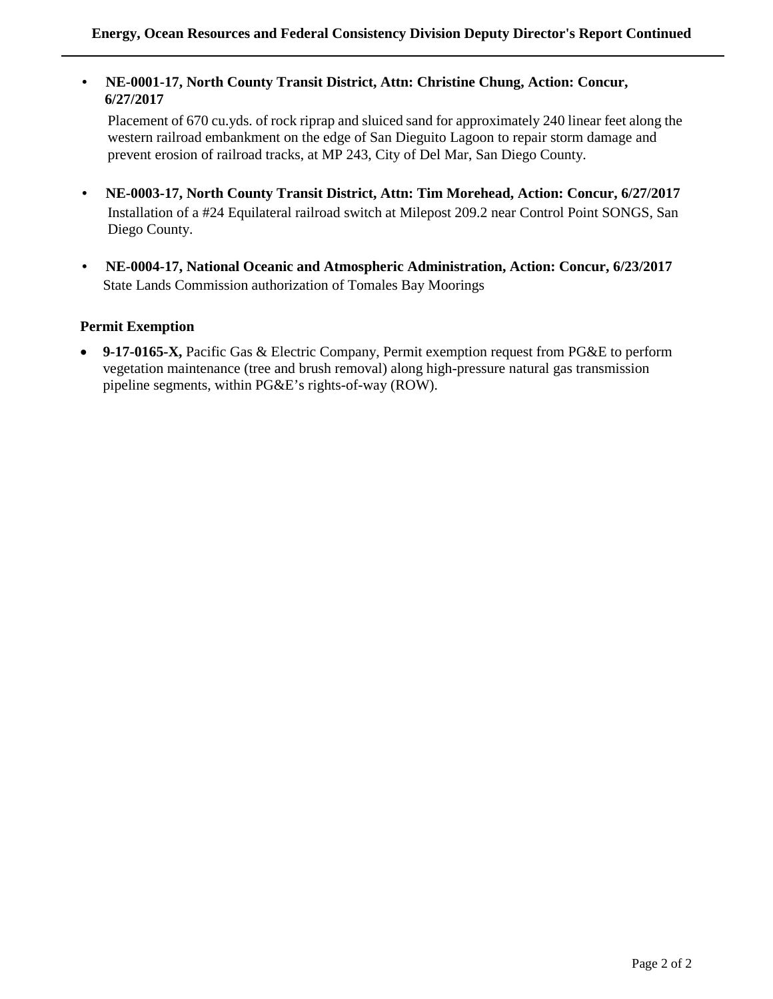**• NE-0001-17, North County Transit District, Attn: Christine Chung, Action: Concur, 6/27/2017** 

Placement of 670 cu.yds. of rock riprap and sluiced sand for approximately 240 linear feet along the western railroad embankment on the edge of San Dieguito Lagoon to repair storm damage and prevent erosion of railroad tracks, at MP 243, City of Del Mar, San Diego County.

- **NE-0003-17, North County Transit District, Attn: Tim Morehead, Action: Concur, 6/27/2017** Installation of a #24 Equilateral railroad switch at Milepost 209.2 near Control Point SONGS, San Diego County.
- **NE-0004-17, National Oceanic and Atmospheric Administration, Action: Concur, 6/23/2017** State Lands Commission authorization of Tomales Bay Moorings

## **Permit Exemption**

• **9-17-0165-X,** Pacific Gas & Electric Company, Permit exemption request from PG&E to perform vegetation maintenance (tree and brush removal) along high-pressure natural gas transmission pipeline segments, within PG&E's rights-of-way (ROW).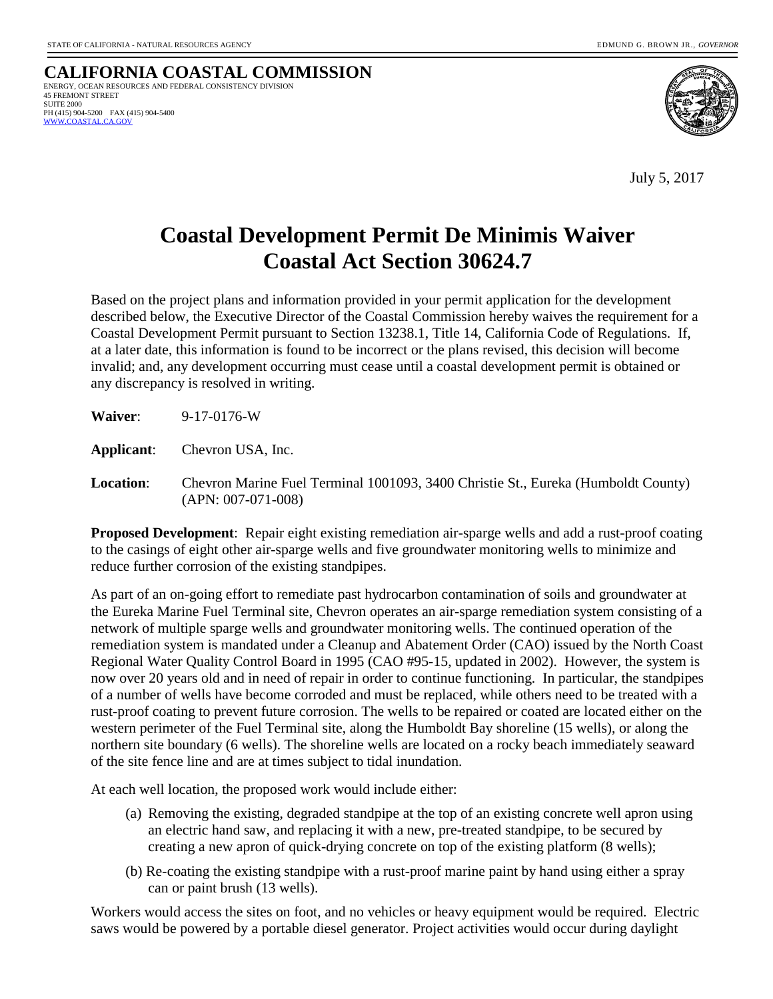**CALIFORNIA COASTAL COMMISSION** ENERGY, OCEAN RESOURCES AND FEDERAL CONSISTENCY DIVISION 45 FREMONT STREET SUITE 2000 PH (415) 904-5200 FAX (415) 904-5400  [WWW.COASTAL.CA.GOV](http://www.coastal.ca.gov/)



July 5, 2017

## **Coastal Development Permit De Minimis Waiver Coastal Act Section 30624.7**

Based on the project plans and information provided in your permit application for the development described below, the Executive Director of the Coastal Commission hereby waives the requirement for a Coastal Development Permit pursuant to Section 13238.1, Title 14, California Code of Regulations. If, at a later date, this information is found to be incorrect or the plans revised, this decision will become invalid; and, any development occurring must cease until a coastal development permit is obtained or any discrepancy is resolved in writing.

| Waiver:          | $9-17-0176-W$                                                                                                |
|------------------|--------------------------------------------------------------------------------------------------------------|
| Applicant:       | Chevron USA, Inc.                                                                                            |
| <b>Location:</b> | Chevron Marine Fuel Terminal 1001093, 3400 Christie St., Eureka (Humboldt County)<br>$(APN: 007-071-008)$    |
|                  | <b>Proposed Development:</b> Repair eight existing remediation air-sparge wells and add a rust-proof coating |

to the casings of eight other air-sparge wells and five groundwater monitoring wells to minimize and reduce further corrosion of the existing standpipes.

As part of an on-going effort to remediate past hydrocarbon contamination of soils and groundwater at the Eureka Marine Fuel Terminal site, Chevron operates an air-sparge remediation system consisting of a network of multiple sparge wells and groundwater monitoring wells. The continued operation of the remediation system is mandated under a Cleanup and Abatement Order (CAO) issued by the North Coast Regional Water Quality Control Board in 1995 (CAO #95-15, updated in 2002). However, the system is now over 20 years old and in need of repair in order to continue functioning. In particular, the standpipes of a number of wells have become corroded and must be replaced, while others need to be treated with a rust-proof coating to prevent future corrosion. The wells to be repaired or coated are located either on the western perimeter of the Fuel Terminal site, along the Humboldt Bay shoreline (15 wells), or along the northern site boundary (6 wells). The shoreline wells are located on a rocky beach immediately seaward of the site fence line and are at times subject to tidal inundation.

At each well location, the proposed work would include either:

- (a) Removing the existing, degraded standpipe at the top of an existing concrete well apron using an electric hand saw, and replacing it with a new, pre-treated standpipe, to be secured by creating a new apron of quick-drying concrete on top of the existing platform (8 wells);
- (b) Re-coating the existing standpipe with a rust-proof marine paint by hand using either a spray can or paint brush (13 wells).

Workers would access the sites on foot, and no vehicles or heavy equipment would be required. Electric saws would be powered by a portable diesel generator. Project activities would occur during daylight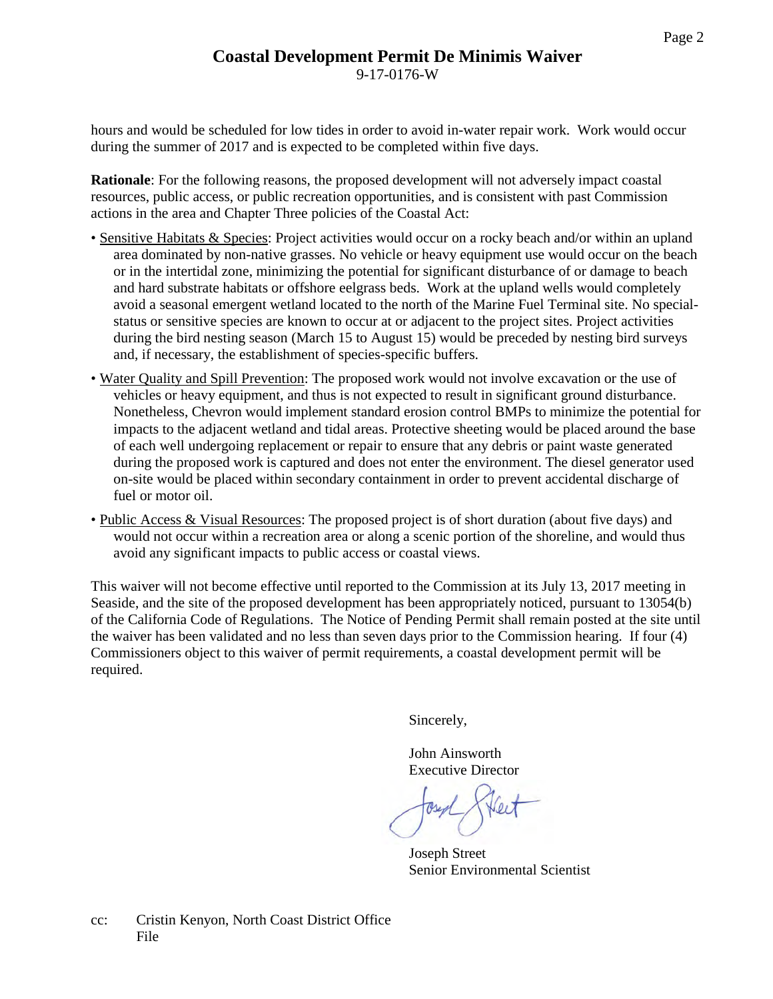## **Coastal Development Permit De Minimis Waiver** 9-17-0176-W

hours and would be scheduled for low tides in order to avoid in-water repair work. Work would occur during the summer of 2017 and is expected to be completed within five days.

**Rationale**: For the following reasons, the proposed development will not adversely impact coastal resources, public access, or public recreation opportunities, and is consistent with past Commission actions in the area and Chapter Three policies of the Coastal Act:

- Sensitive Habitats & Species: Project activities would occur on a rocky beach and/or within an upland area dominated by non-native grasses. No vehicle or heavy equipment use would occur on the beach or in the intertidal zone, minimizing the potential for significant disturbance of or damage to beach and hard substrate habitats or offshore eelgrass beds. Work at the upland wells would completely avoid a seasonal emergent wetland located to the north of the Marine Fuel Terminal site. No specialstatus or sensitive species are known to occur at or adjacent to the project sites. Project activities during the bird nesting season (March 15 to August 15) would be preceded by nesting bird surveys and, if necessary, the establishment of species-specific buffers.
- Water Quality and Spill Prevention: The proposed work would not involve excavation or the use of vehicles or heavy equipment, and thus is not expected to result in significant ground disturbance. Nonetheless, Chevron would implement standard erosion control BMPs to minimize the potential for impacts to the adjacent wetland and tidal areas. Protective sheeting would be placed around the base of each well undergoing replacement or repair to ensure that any debris or paint waste generated during the proposed work is captured and does not enter the environment. The diesel generator used on-site would be placed within secondary containment in order to prevent accidental discharge of fuel or motor oil.
- Public Access & Visual Resources: The proposed project is of short duration (about five days) and would not occur within a recreation area or along a scenic portion of the shoreline, and would thus avoid any significant impacts to public access or coastal views.

This waiver will not become effective until reported to the Commission at its July 13, 2017 meeting in Seaside, and the site of the proposed development has been appropriately noticed, pursuant to 13054(b) of the California Code of Regulations. The Notice of Pending Permit shall remain posted at the site until the waiver has been validated and no less than seven days prior to the Commission hearing. If four (4) Commissioners object to this waiver of permit requirements, a coastal development permit will be required.

Sincerely,

John Ainsworth Executive Director

Joseph Street Senior Environmental Scientist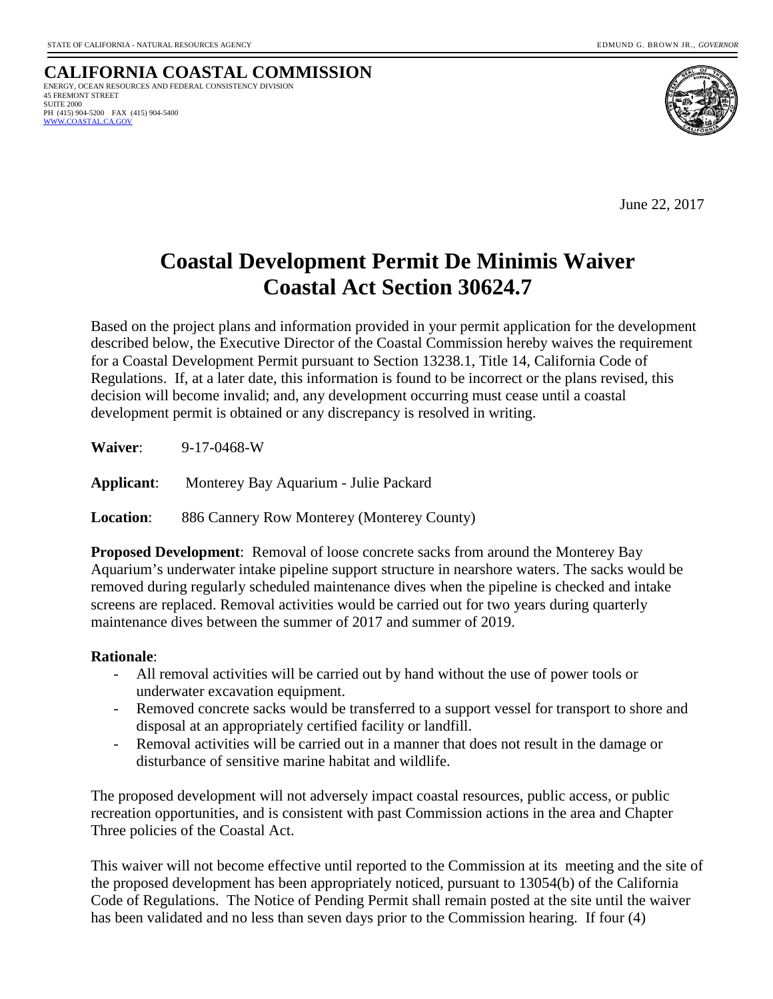**CALIFORNIA COASTAL COMMISSION** ENERGY, OCEAN RESOURCES AND FEDERAL CONSISTENCY DIVISION 45 FREMONT STREET SUITE 2000 PH (415) 904-5200 FAX (415) 904-5400  [WWW.COASTAL.CA.GOV](http://www.coastal.ca.gov/)



June 22, 2017

# **Coastal Development Permit De Minimis Waiver Coastal Act Section 30624.7**

Based on the project plans and information provided in your permit application for the development described below, the Executive Director of the Coastal Commission hereby waives the requirement for a Coastal Development Permit pursuant to Section 13238.1, Title 14, California Code of Regulations. If, at a later date, this information is found to be incorrect or the plans revised, this decision will become invalid; and, any development occurring must cease until a coastal development permit is obtained or any discrepancy is resolved in writing.

**Waiver**: 9-17-0468-W

**Applicant**: Monterey Bay Aquarium - Julie Packard

**Location**: 886 Cannery Row Monterey (Monterey County)

**Proposed Development**: Removal of loose concrete sacks from around the Monterey Bay Aquarium's underwater intake pipeline support structure in nearshore waters. The sacks would be removed during regularly scheduled maintenance dives when the pipeline is checked and intake screens are replaced. Removal activities would be carried out for two years during quarterly maintenance dives between the summer of 2017 and summer of 2019.

## **Rationale**:

- All removal activities will be carried out by hand without the use of power tools or underwater excavation equipment.
- Removed concrete sacks would be transferred to a support vessel for transport to shore and disposal at an appropriately certified facility or landfill.
- Removal activities will be carried out in a manner that does not result in the damage or disturbance of sensitive marine habitat and wildlife.

The proposed development will not adversely impact coastal resources, public access, or public recreation opportunities, and is consistent with past Commission actions in the area and Chapter Three policies of the Coastal Act.

This waiver will not become effective until reported to the Commission at its meeting and the site of the proposed development has been appropriately noticed, pursuant to 13054(b) of the California Code of Regulations. The Notice of Pending Permit shall remain posted at the site until the waiver has been validated and no less than seven days prior to the Commission hearing. If four (4)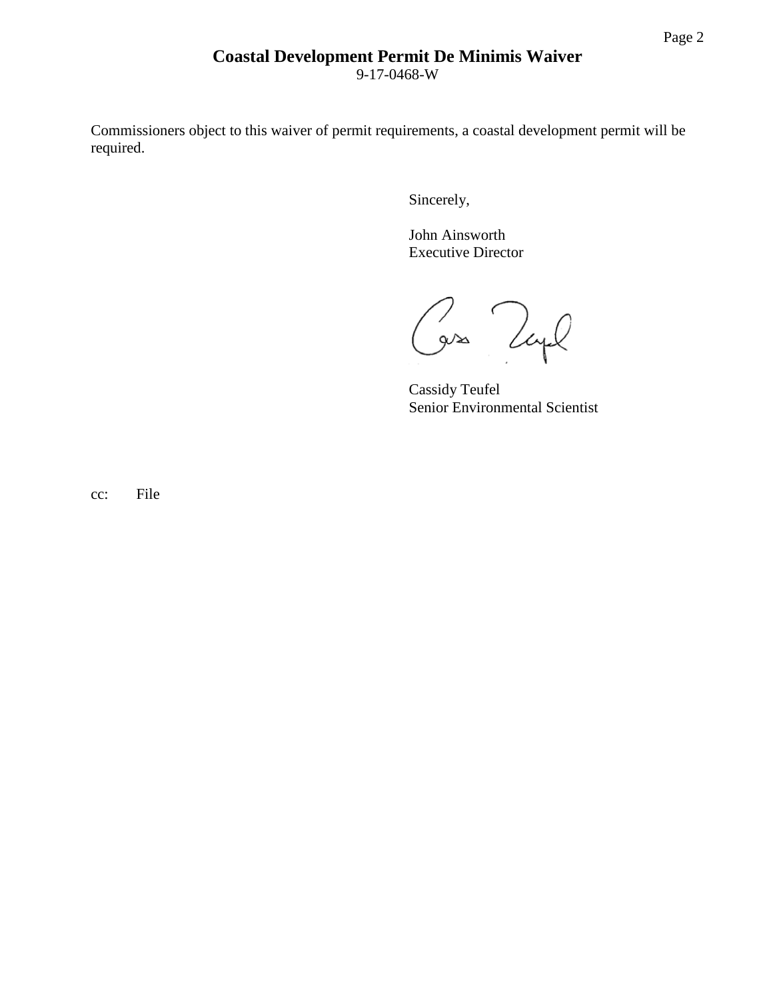## **Coastal Development Permit De Minimis Waiver**

9-17-0468-W

Commissioners object to this waiver of permit requirements, a coastal development permit will be required.

Sincerely,

John Ainsworth Executive Director

2 Zayl

Cassidy Teufel Senior Environmental Scientist

cc: File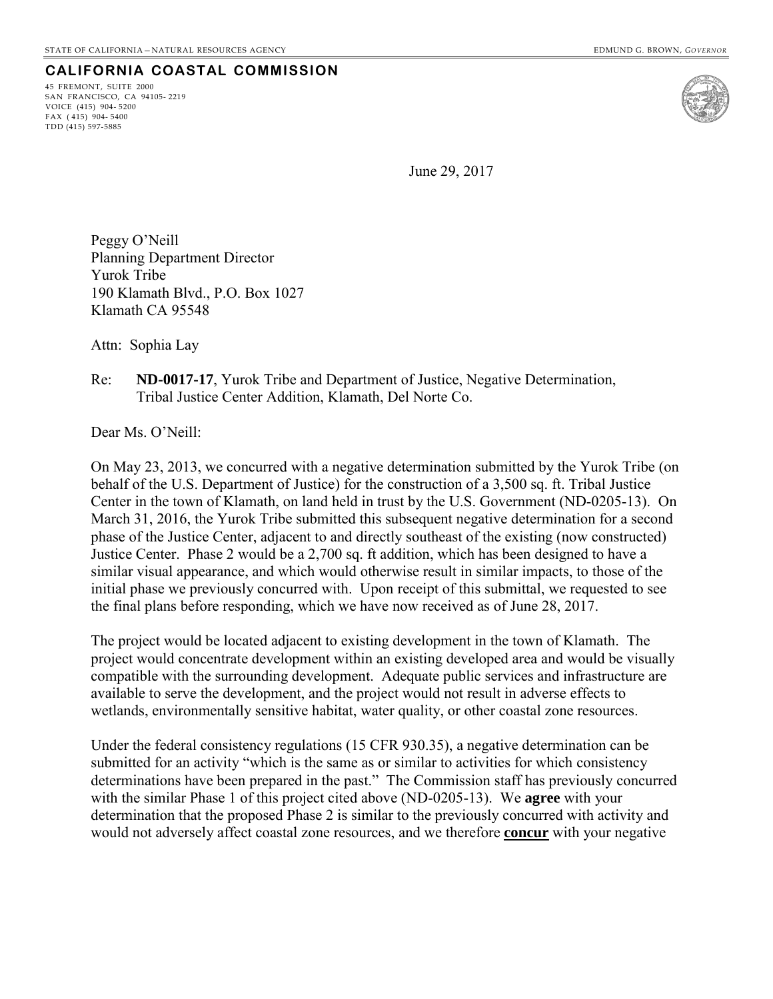## **CALIFORNIA COASTAL COMMISSION**

45 FREMONT, SUITE 2000 SAN FRANCISCO, CA 94105- 2219 VOICE (415) 904- 5200 FAX ( 415) 904- 5400 TDD (415) 597-5885



June 29, 2017

Peggy O'Neill Planning Department Director Yurok Tribe 190 Klamath Blvd., P.O. Box 1027 Klamath CA 95548

Attn: Sophia Lay

## Re: **ND-0017-17**, Yurok Tribe and Department of Justice, Negative Determination, Tribal Justice Center Addition, Klamath, Del Norte Co.

Dear Ms. O'Neill:

On May 23, 2013, we concurred with a negative determination submitted by the Yurok Tribe (on behalf of the U.S. Department of Justice) for the construction of a 3,500 sq. ft. Tribal Justice Center in the town of Klamath, on land held in trust by the U.S. Government (ND-0205-13). On March 31, 2016, the Yurok Tribe submitted this subsequent negative determination for a second phase of the Justice Center, adjacent to and directly southeast of the existing (now constructed) Justice Center. Phase 2 would be a 2,700 sq. ft addition, which has been designed to have a similar visual appearance, and which would otherwise result in similar impacts, to those of the initial phase we previously concurred with. Upon receipt of this submittal, we requested to see the final plans before responding, which we have now received as of June 28, 2017.

The project would be located adjacent to existing development in the town of Klamath. The project would concentrate development within an existing developed area and would be visually compatible with the surrounding development. Adequate public services and infrastructure are available to serve the development, and the project would not result in adverse effects to wetlands, environmentally sensitive habitat, water quality, or other coastal zone resources.

Under the federal consistency regulations (15 CFR 930.35), a negative determination can be submitted for an activity "which is the same as or similar to activities for which consistency determinations have been prepared in the past." The Commission staff has previously concurred with the similar Phase 1 of this project cited above (ND-0205-13). We **agree** with your determination that the proposed Phase 2 is similar to the previously concurred with activity and would not adversely affect coastal zone resources, and we therefore **concur** with your negative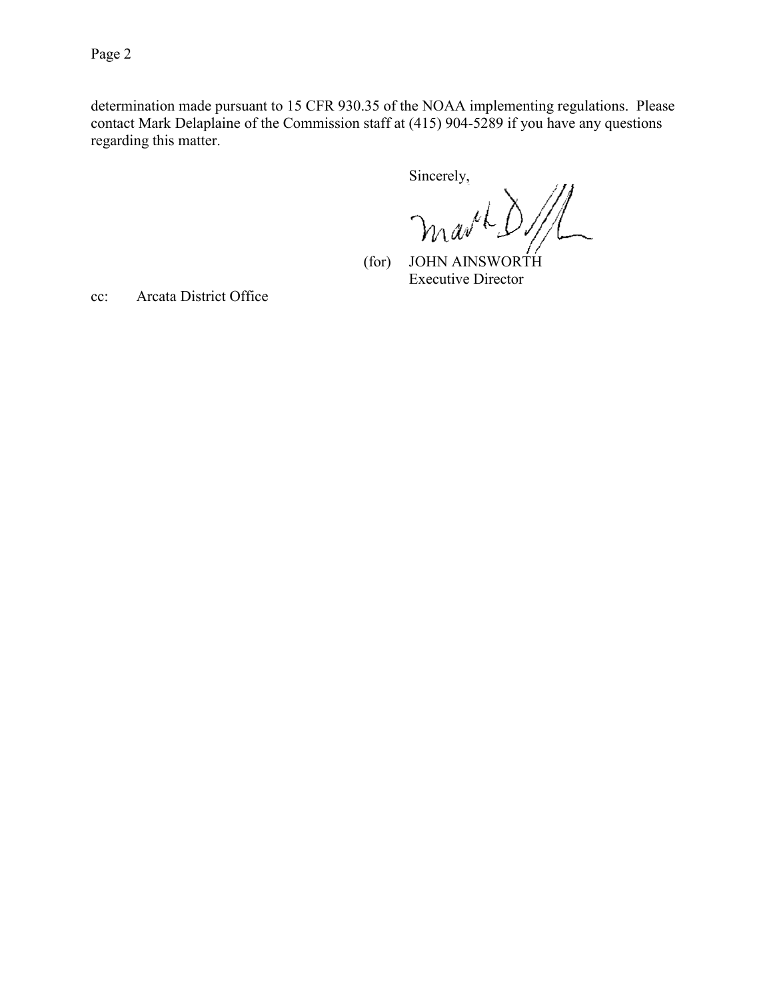Page 2

determination made pursuant to 15 CFR 930.35 of the NOAA implementing regulations. Please contact Mark Delaplaine of the Commission staff at (415) 904-5289 if you have any questions regarding this matter.

Sincerely,

 $\mathbb{Z}$ mark.

 (for) JOHN AINSWORTH Executive Director

cc: Arcata District Office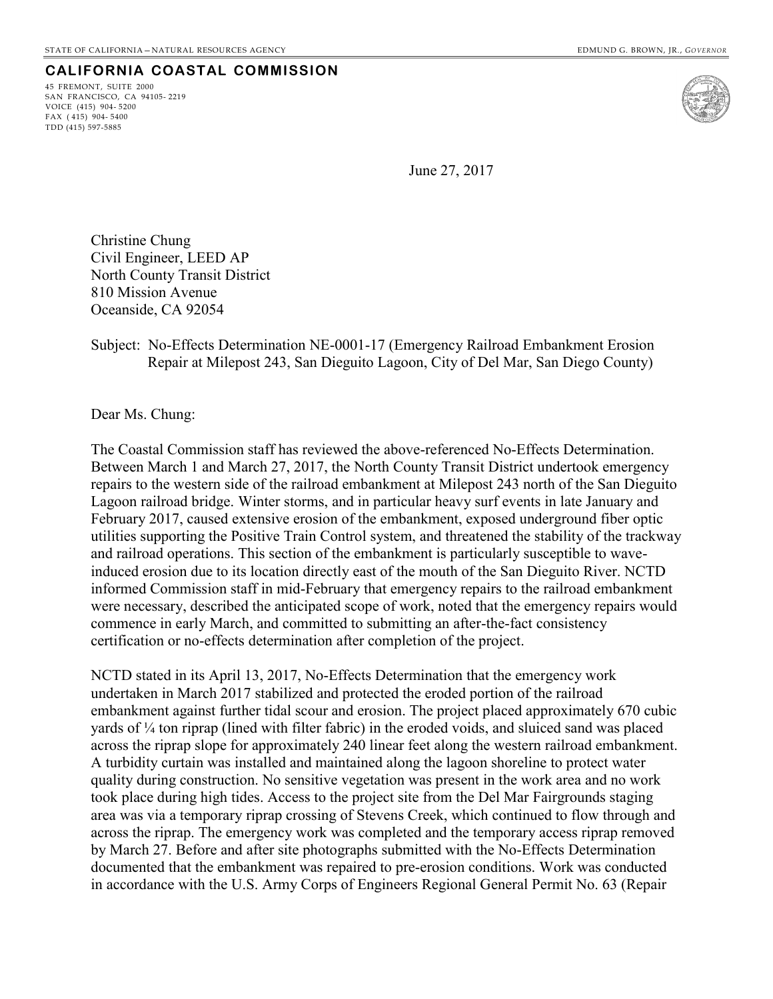## **CALIFORNIA COASTAL COMMISSION**

45 FREMONT, SUITE 2000 SAN FRANCISCO, CA 94105- 2219 VOICE (415) 904- 5200 FAX ( 415) 904- 5400 TDD (415) 597-5885



June 27, 2017

Christine Chung Civil Engineer, LEED AP North County Transit District 810 Mission Avenue Oceanside, CA 92054

## Subject: No-Effects Determination NE-0001-17 (Emergency Railroad Embankment Erosion Repair at Milepost 243, San Dieguito Lagoon, City of Del Mar, San Diego County)

Dear Ms. Chung:

The Coastal Commission staff has reviewed the above-referenced No-Effects Determination. Between March 1 and March 27, 2017, the North County Transit District undertook emergency repairs to the western side of the railroad embankment at Milepost 243 north of the San Dieguito Lagoon railroad bridge. Winter storms, and in particular heavy surf events in late January and February 2017, caused extensive erosion of the embankment, exposed underground fiber optic utilities supporting the Positive Train Control system, and threatened the stability of the trackway and railroad operations. This section of the embankment is particularly susceptible to waveinduced erosion due to its location directly east of the mouth of the San Dieguito River. NCTD informed Commission staff in mid-February that emergency repairs to the railroad embankment were necessary, described the anticipated scope of work, noted that the emergency repairs would commence in early March, and committed to submitting an after-the-fact consistency certification or no-effects determination after completion of the project.

NCTD stated in its April 13, 2017, No-Effects Determination that the emergency work undertaken in March 2017 stabilized and protected the eroded portion of the railroad embankment against further tidal scour and erosion. The project placed approximately 670 cubic yards of ¼ ton riprap (lined with filter fabric) in the eroded voids, and sluiced sand was placed across the riprap slope for approximately 240 linear feet along the western railroad embankment. A turbidity curtain was installed and maintained along the lagoon shoreline to protect water quality during construction. No sensitive vegetation was present in the work area and no work took place during high tides. Access to the project site from the Del Mar Fairgrounds staging area was via a temporary riprap crossing of Stevens Creek, which continued to flow through and across the riprap. The emergency work was completed and the temporary access riprap removed by March 27. Before and after site photographs submitted with the No-Effects Determination documented that the embankment was repaired to pre-erosion conditions. Work was conducted in accordance with the U.S. Army Corps of Engineers Regional General Permit No. 63 (Repair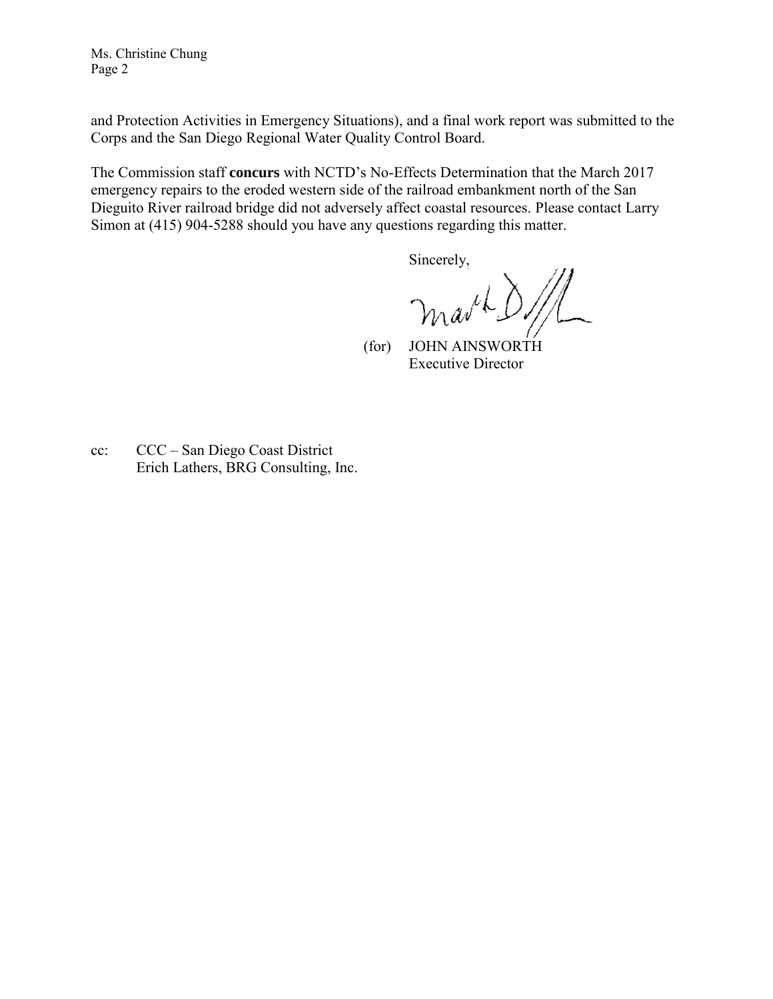Ms. Christine Chung Page 2

and Protection Activities in Emergency Situations), and a final work report was submitted to the Corps and the San Diego Regional Water Quality Control Board.

The Commission staff **concurs** with NCTD's No-Effects Determination that the March 2017 emergency repairs to the eroded western side of the railroad embankment north of the San Dieguito River railroad bridge did not adversely affect coastal resources. Please contact Larry Simon at (415) 904-5288 should you have any questions regarding this matter.

Sincerely,

martD/

 (for) JOHN AINSWORTH Executive Director

cc: CCC – San Diego Coast District Erich Lathers, BRG Consulting, Inc.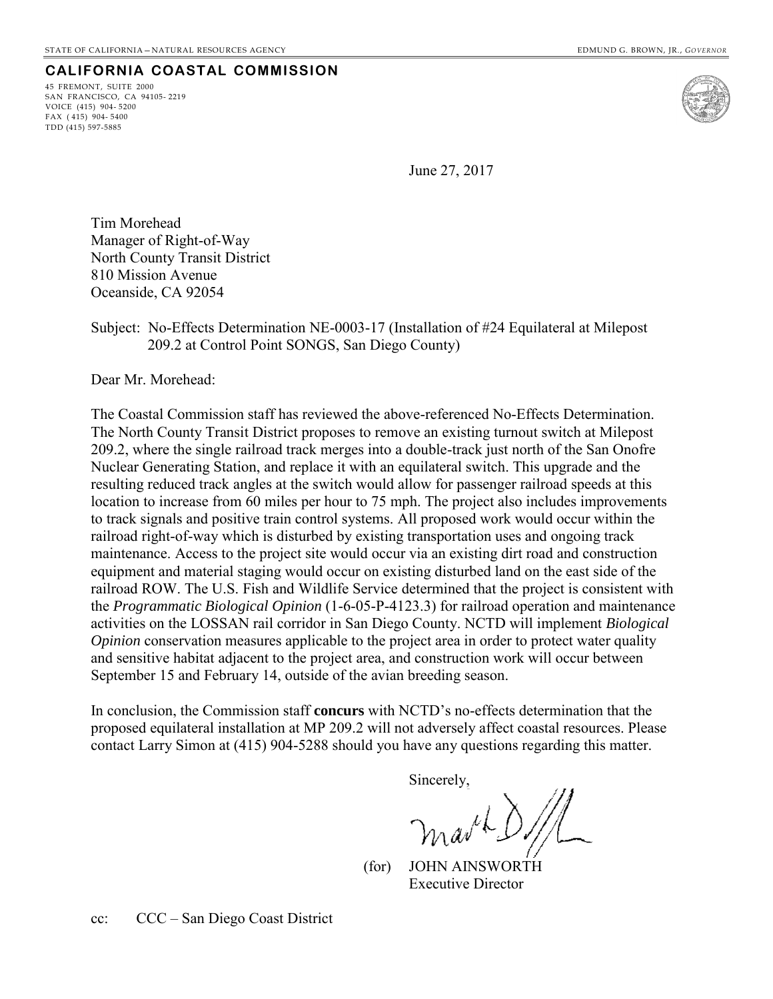## **CALIFORNIA COASTAL COMMISSION**

45 FREMONT, SUITE 2000 SAN FRANCISCO, CA 94105- 2219 VOICE (415) 904- 5200 FAX ( 415) 904- 5400 TDD (415) 597-5885



June 27, 2017

Tim Morehead Manager of Right-of-Way North County Transit District 810 Mission Avenue Oceanside, CA 92054

Subject: No-Effects Determination NE-0003-17 (Installation of #24 Equilateral at Milepost 209.2 at Control Point SONGS, San Diego County)

Dear Mr. Morehead:

The Coastal Commission staff has reviewed the above-referenced No-Effects Determination. The North County Transit District proposes to remove an existing turnout switch at Milepost 209.2, where the single railroad track merges into a double-track just north of the San Onofre Nuclear Generating Station, and replace it with an equilateral switch. This upgrade and the resulting reduced track angles at the switch would allow for passenger railroad speeds at this location to increase from 60 miles per hour to 75 mph. The project also includes improvements to track signals and positive train control systems. All proposed work would occur within the railroad right-of-way which is disturbed by existing transportation uses and ongoing track maintenance. Access to the project site would occur via an existing dirt road and construction equipment and material staging would occur on existing disturbed land on the east side of the railroad ROW. The U.S. Fish and Wildlife Service determined that the project is consistent with the *Programmatic Biological Opinion* (1-6-05-P-4123.3) for railroad operation and maintenance activities on the LOSSAN rail corridor in San Diego County. NCTD will implement *Biological Opinion* conservation measures applicable to the project area in order to protect water quality and sensitive habitat adjacent to the project area, and construction work will occur between September 15 and February 14, outside of the avian breeding season.

In conclusion, the Commission staff **concurs** with NCTD's no-effects determination that the proposed equilateral installation at MP 209.2 will not adversely affect coastal resources. Please contact Larry Simon at (415) 904-5288 should you have any questions regarding this matter.

Sincerely,

marche

 (for) JOHN AINSWORTH Executive Director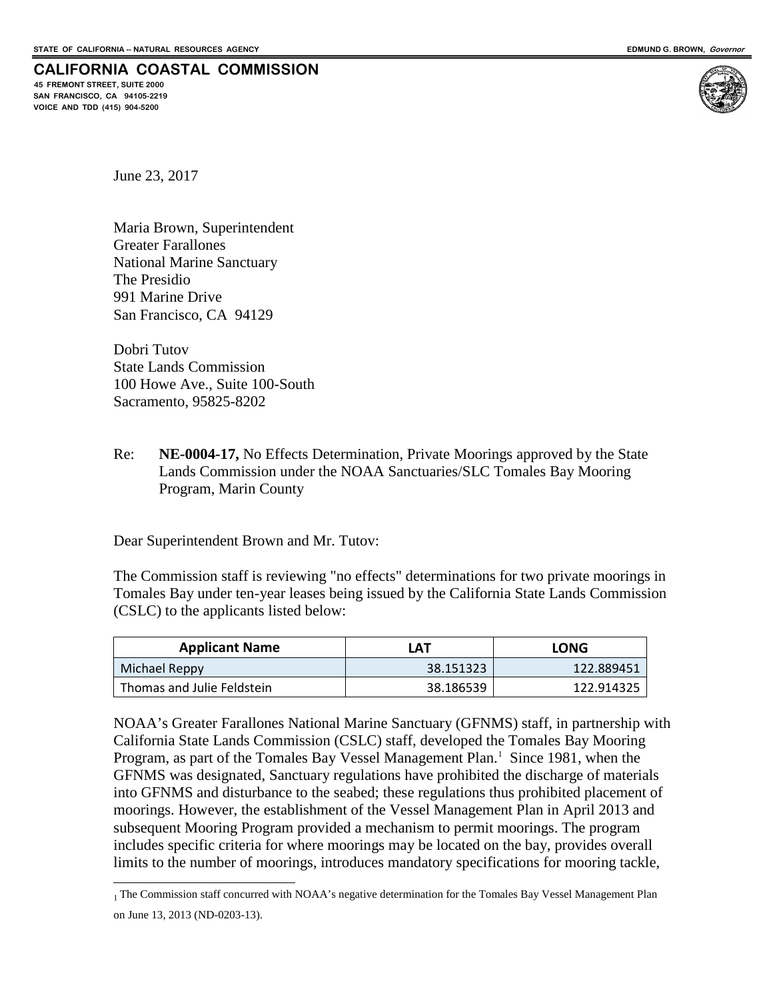#### **CALIFORNIA COASTAL COMMISSION 45 FREMONT STREET, SUITE 2000**

**SAN FRANCISCO, CA 94105-2219 VOICE AND TDD (415) 904-5200**



June 23, 2017

Maria Brown, Superintendent Greater Farallones National Marine Sanctuary The Presidio 991 Marine Drive San Francisco, CA 94129

Dobri Tutov State Lands Commission 100 Howe Ave., Suite 100-South Sacramento, 95825-8202

Re: **NE-0004-17,** No Effects Determination, Private Moorings approved by the State Lands Commission under the NOAA Sanctuaries/SLC Tomales Bay Mooring Program, Marin County

Dear Superintendent Brown and Mr. Tutov:

The Commission staff is reviewing "no effects" determinations for two private moorings in Tomales Bay under ten-year leases being issued by the California State Lands Commission (CSLC) to the applicants listed below:

| <b>Applicant Name</b>      | LAT       | <b>LONG</b> |
|----------------------------|-----------|-------------|
| Michael Reppy              | 38.151323 | 122.889451  |
| Thomas and Julie Feldstein | 38.186539 | 122.914325  |

NOAA's Greater Farallones National Marine Sanctuary (GFNMS) staff, in partnership with California State Lands Commission (CSLC) staff, developed the Tomales Bay Mooring Program, as part of the Tomales Bay Vessel Management Plan.<sup>[1](#page-11-0)</sup> Since 1981, when the GFNMS was designated, Sanctuary regulations have prohibited the discharge of materials into GFNMS and disturbance to the seabed; these regulations thus prohibited placement of moorings. However, the establishment of the Vessel Management Plan in April 2013 and subsequent Mooring Program provided a mechanism to permit moorings. The program includes specific criteria for where moorings may be located on the bay, provides overall limits to the number of moorings, introduces mandatory specifications for mooring tackle,

<span id="page-11-0"></span> $\overline{a}$ 1 The Commission staff concurred with NOAA's negative determination for the Tomales Bay Vessel Management Plan on June 13, 2013 (ND-0203-13).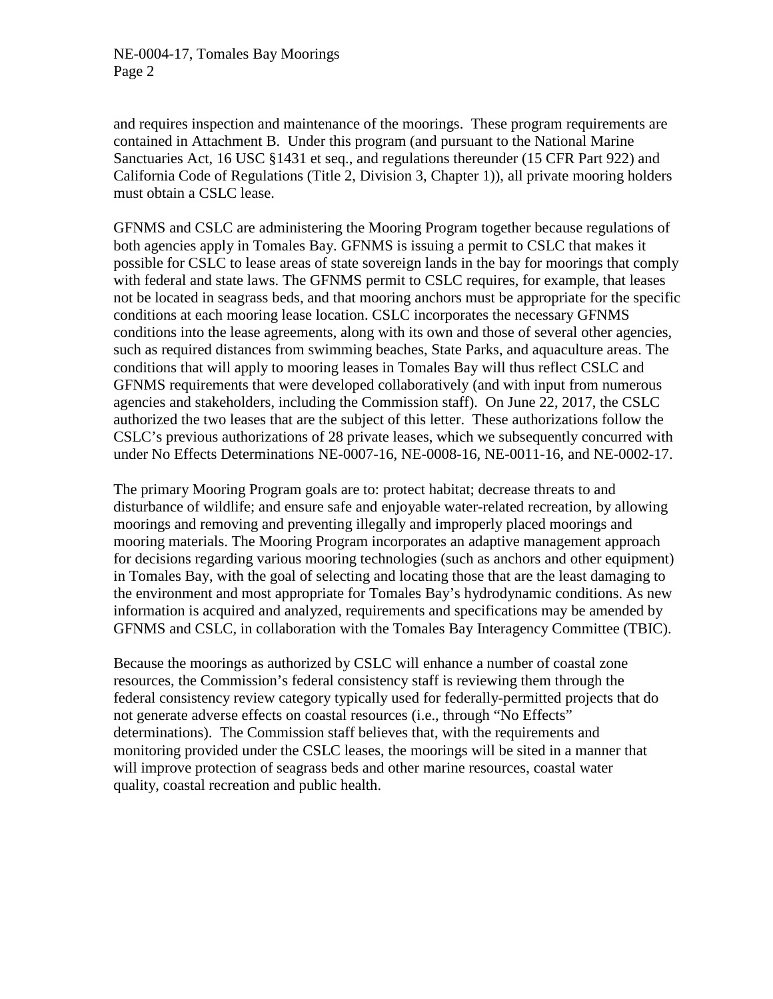and requires inspection and maintenance of the moorings. These program requirements are contained in Attachment B. Under this program (and pursuant to the National Marine Sanctuaries Act, 16 USC §1431 et seq., and regulations thereunder (15 CFR Part 922) and California Code of Regulations (Title 2, Division 3, Chapter 1)), all private mooring holders must obtain a CSLC lease.

GFNMS and CSLC are administering the Mooring Program together because regulations of both agencies apply in Tomales Bay. GFNMS is issuing a permit to CSLC that makes it possible for CSLC to lease areas of state sovereign lands in the bay for moorings that comply with federal and state laws. The GFNMS permit to CSLC requires, for example, that leases not be located in seagrass beds, and that mooring anchors must be appropriate for the specific conditions at each mooring lease location. CSLC incorporates the necessary GFNMS conditions into the lease agreements, along with its own and those of several other agencies, such as required distances from swimming beaches, State Parks, and aquaculture areas. The conditions that will apply to mooring leases in Tomales Bay will thus reflect CSLC and GFNMS requirements that were developed collaboratively (and with input from numerous agencies and stakeholders, including the Commission staff). On June 22, 2017, the CSLC authorized the two leases that are the subject of this letter. These authorizations follow the CSLC's previous authorizations of 28 private leases, which we subsequently concurred with under No Effects Determinations NE-0007-16, NE-0008-16, NE-0011-16, and NE-0002-17.

The primary Mooring Program goals are to: protect habitat; decrease threats to and disturbance of wildlife; and ensure safe and enjoyable water-related recreation, by allowing moorings and removing and preventing illegally and improperly placed moorings and mooring materials. The Mooring Program incorporates an adaptive management approach for decisions regarding various mooring technologies (such as anchors and other equipment) in Tomales Bay, with the goal of selecting and locating those that are the least damaging to the environment and most appropriate for Tomales Bay's hydrodynamic conditions. As new information is acquired and analyzed, requirements and specifications may be amended by GFNMS and CSLC, in collaboration with the Tomales Bay Interagency Committee (TBIC).

Because the moorings as authorized by CSLC will enhance a number of coastal zone resources, the Commission's federal consistency staff is reviewing them through the federal consistency review category typically used for federally-permitted projects that do not generate adverse effects on coastal resources (i.e., through "No Effects" determinations). The Commission staff believes that, with the requirements and monitoring provided under the CSLC leases, the moorings will be sited in a manner that will improve protection of seagrass beds and other marine resources, coastal water quality, coastal recreation and public health.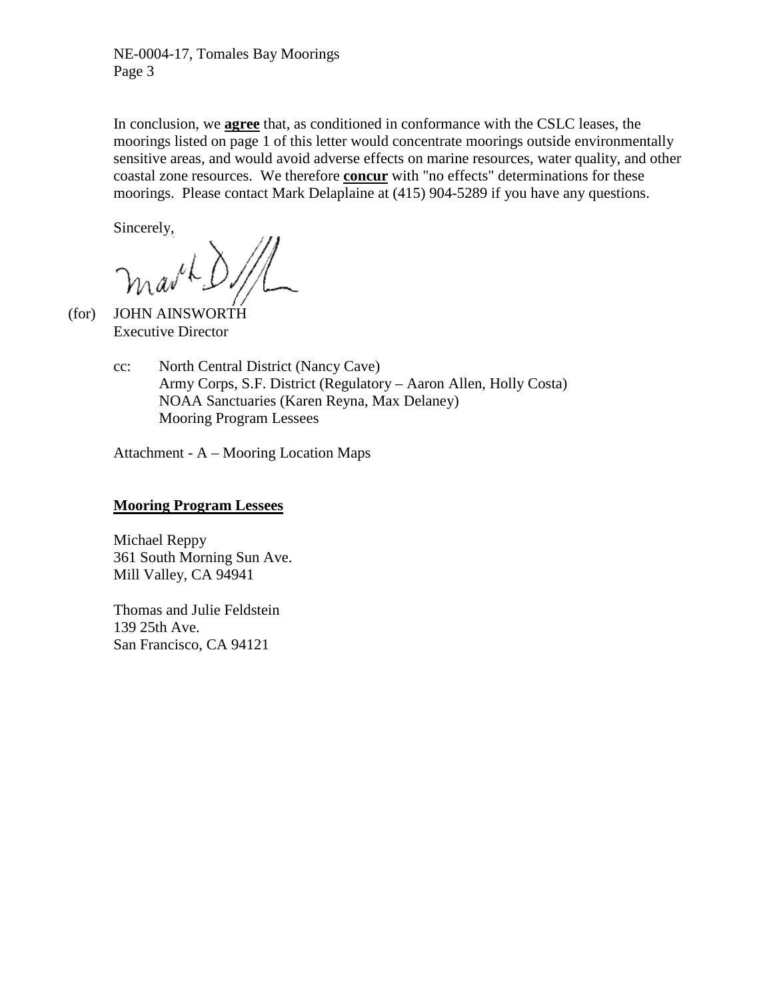NE-0004-17, Tomales Bay Moorings Page 3

In conclusion, we **agree** that, as conditioned in conformance with the CSLC leases, the moorings listed on page 1 of this letter would concentrate moorings outside environmentally sensitive areas, and would avoid adverse effects on marine resources, water quality, and other coastal zone resources. We therefore **concur** with "no effects" determinations for these moorings. Please contact Mark Delaplaine at (415) 904-5289 if you have any questions.

Sincerely,

 (for) JOHN AINSWORTH Executive Director

> cc: North Central District (Nancy Cave) Army Corps, S.F. District (Regulatory – Aaron Allen, Holly Costa) NOAA Sanctuaries (Karen Reyna, Max Delaney) Mooring Program Lessees

Attachment - A – Mooring Location Maps

## **Mooring Program Lessees**

Michael Reppy 361 South Morning Sun Ave. Mill Valley, CA 94941

Thomas and Julie Feldstein 139 25th Ave. San Francisco, CA 94121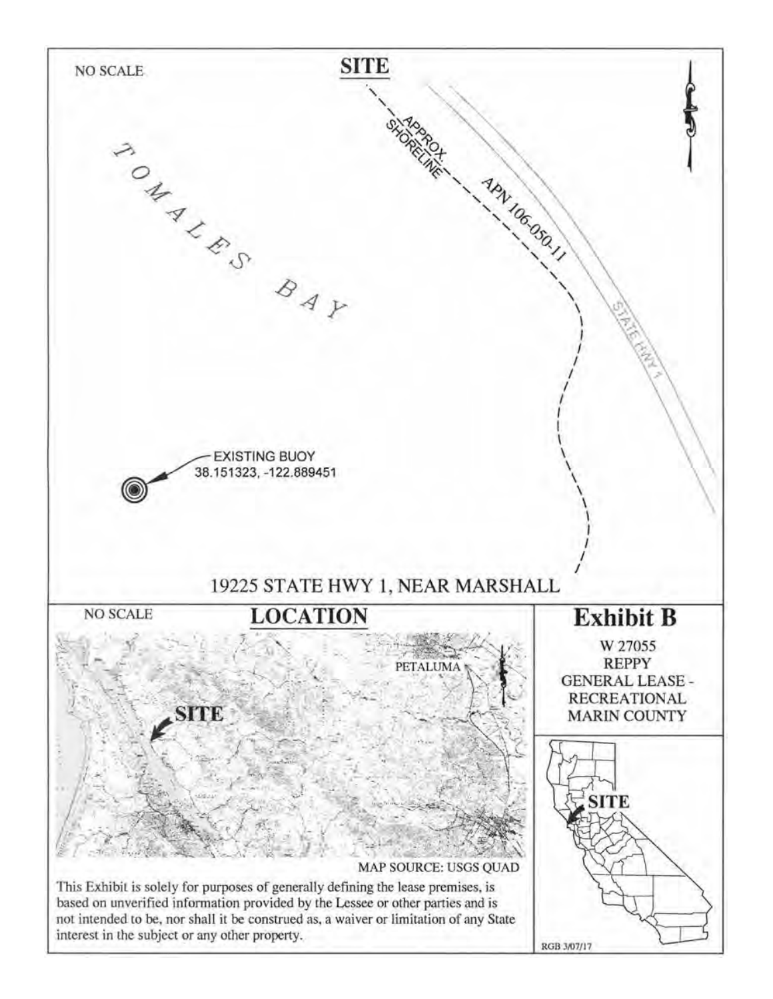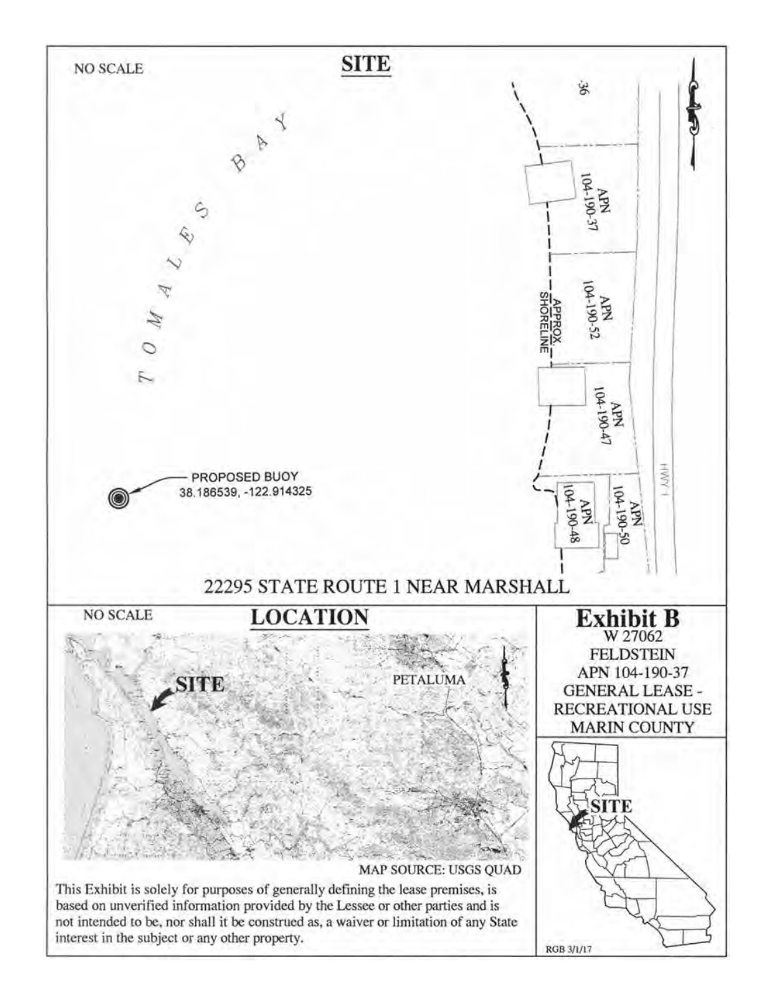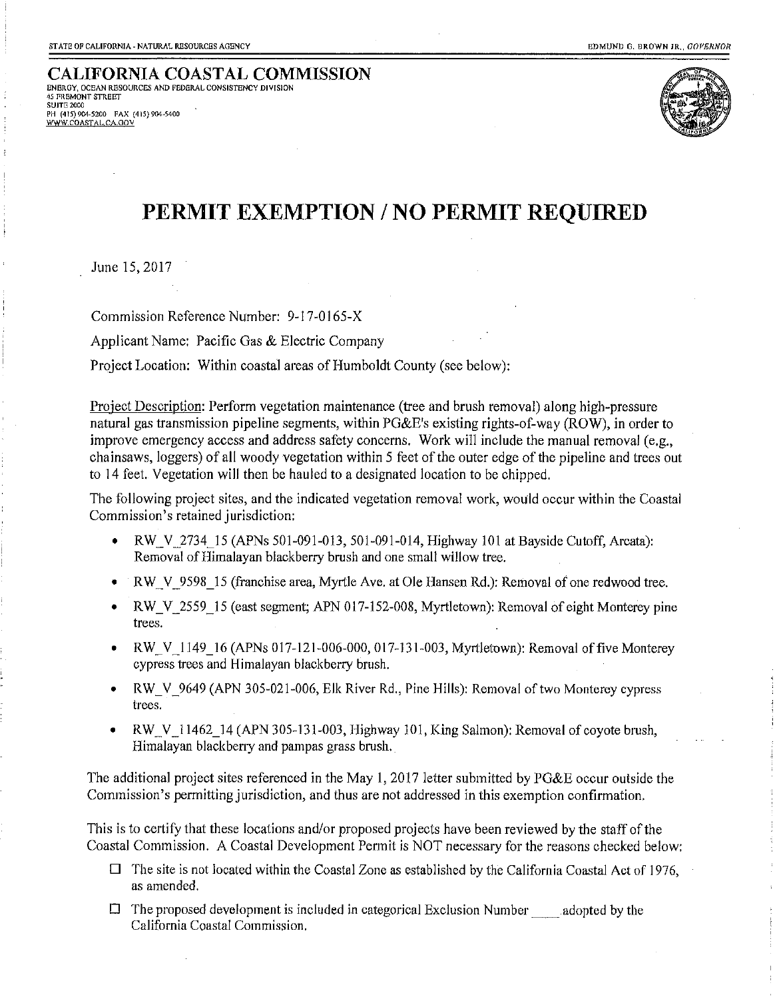**CALIFORNIA COASTAL COMMISSION** ENERGY, OCEAN RESOURCES AND FEDERAL CONSISTENCY DIVISION 45 FREMONT STREET SULTE 2000 PH (415) 904-5200 FAX (415) 904-5400 WWW.COASTAL.CA.GOV



## PERMIT EXEMPTION / NO PERMIT REQUIRED

June 15, 2017

Commission Reference Number: 9-17-0165-X

Applicant Name: Pacific Gas & Electric Company

Project Location: Within coastal areas of Humboldt County (see below):

Project Description: Perform vegetation maintenance (tree and brush removal) along high-pressure natural gas transmission pipeline segments, within PG&E's existing rights-of-way (ROW), in order to improve emergency access and address safety concerns. Work will include the manual removal (e.g., chainsaws, loggers) of all woody vegetation within 5 feet of the outer edge of the pipeline and trees out to 14 feet. Vegetation will then be hauled to a designated location to be chipped.

The following project sites, and the indicated vegetation removal work, would occur within the Coastal Commission's retained jurisdiction:

- $\bullet$ RW V 2734 15 (APNs 501-091-013, 501-091-014, Highway 101 at Bayside Cutoff, Arcata): Removal of Himalayan blackberry brush and one small willow tree.
- RW V 9598 15 (franchise area, Myrtle Ave. at Ole Hansen Rd.): Removal of one redwood tree.
- RW V 2559 15 (east segment; APN 017-152-008, Myrtletown): Removal of eight Monterey pine trees.
- RW V 1149 16 (APNs 017-121-006-000, 017-131-003, Myrtletown): Removal of five Monterey cypress trees and Himalayan blackberry brush.
- RW V 9649 (APN 305-021-006, Elk River Rd., Pine Hills): Removal of two Monterey cypress  $\bullet$ trees.
- RW V 11462 14 (APN 305-131-003, Highway 101, King Salmon): Removal of covote brush, Himalayan blackberry and pampas grass brush.

The additional project sites referenced in the May 1, 2017 letter submitted by PG&E occur outside the Commission's permitting jurisdiction, and thus are not addressed in this exemption confirmation.

This is to certify that these locations and/or proposed projects have been reviewed by the staff of the Coastal Commission. A Coastal Development Permit is NOT necessary for the reasons checked below:

- $\Box$  The site is not located within the Coastal Zone as established by the California Coastal Act of 1976, as amended.
- $\Box$  The proposed development is included in categorical Exclusion Number adopted by the California Coastal Commission.